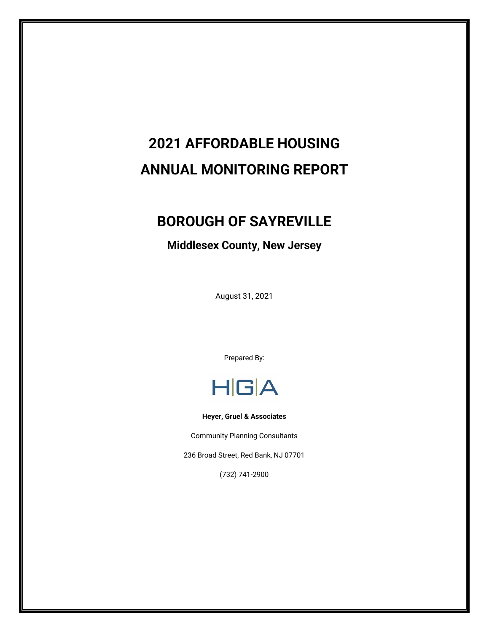# **2021 AFFORDABLE HOUSING ANNUAL MONITORING REPORT**

# **BOROUGH OF SAYREVILLE**

# **Middlesex County, New Jersey**

August 31, 2021

Prepared By:



**Heyer, Gruel & Associates**

Community Planning Consultants

236 Broad Street, Red Bank, NJ 07701

(732) 741-2900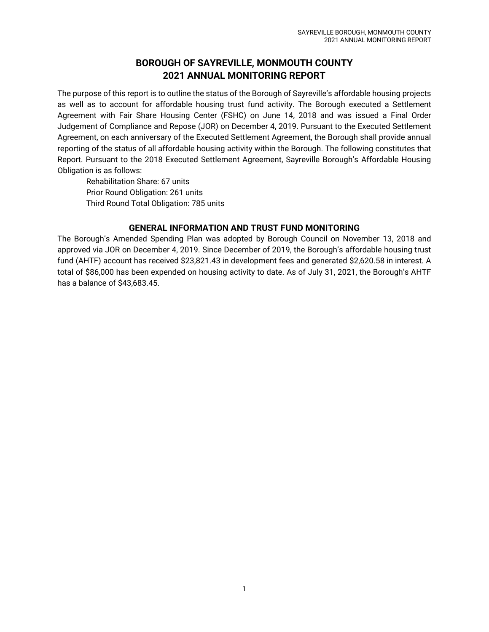## **BOROUGH OF SAYREVILLE, MONMOUTH COUNTY 2021 ANNUAL MONITORING REPORT**

The purpose of this report is to outline the status of the Borough of Sayreville's affordable housing projects as well as to account for affordable housing trust fund activity. The Borough executed a Settlement Agreement with Fair Share Housing Center (FSHC) on June 14, 2018 and was issued a Final Order Judgement of Compliance and Repose (JOR) on December 4, 2019. Pursuant to the Executed Settlement Agreement, on each anniversary of the Executed Settlement Agreement, the Borough shall provide annual reporting of the status of all affordable housing activity within the Borough. The following constitutes that Report. Pursuant to the 2018 Executed Settlement Agreement, Sayreville Borough's Affordable Housing Obligation is as follows:

Rehabilitation Share: 67 units Prior Round Obligation: 261 units Third Round Total Obligation: 785 units

### **GENERAL INFORMATION AND TRUST FUND MONITORING**

The Borough's Amended Spending Plan was adopted by Borough Council on November 13, 2018 and approved via JOR on December 4, 2019. Since December of 2019, the Borough's affordable housing trust fund (AHTF) account has received \$23,821.43 in development fees and generated \$2,620.58 in interest. A total of \$86,000 has been expended on housing activity to date. As of July 31, 2021, the Borough's AHTF has a balance of \$43,683.45.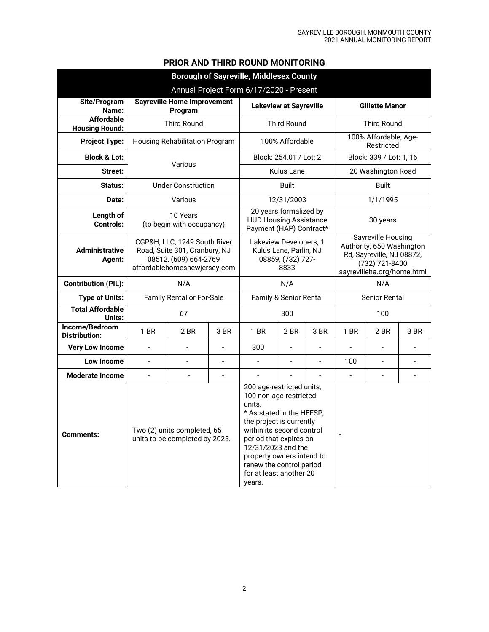|  |  | <b>PRIOR AND THIRD ROUND MONITORING</b> |
|--|--|-----------------------------------------|
|--|--|-----------------------------------------|

| <b>Borough of Sayreville, Middlesex County</b> |                                                                                                                        |                                                               |                                                                               |                                                                                                                                                                                                                                                                                                   |                                                                                    |                                                                                                                                     |                                     |                      |                |  |  |
|------------------------------------------------|------------------------------------------------------------------------------------------------------------------------|---------------------------------------------------------------|-------------------------------------------------------------------------------|---------------------------------------------------------------------------------------------------------------------------------------------------------------------------------------------------------------------------------------------------------------------------------------------------|------------------------------------------------------------------------------------|-------------------------------------------------------------------------------------------------------------------------------------|-------------------------------------|----------------------|----------------|--|--|
| Annual Project Form 6/17/2020 - Present        |                                                                                                                        |                                                               |                                                                               |                                                                                                                                                                                                                                                                                                   |                                                                                    |                                                                                                                                     |                                     |                      |                |  |  |
| Site/Program<br>Name:                          | <b>Sayreville Home Improvement</b><br>Program                                                                          |                                                               |                                                                               | <b>Lakeview at Sayreville</b>                                                                                                                                                                                                                                                                     |                                                                                    |                                                                                                                                     | <b>Gillette Manor</b>               |                      |                |  |  |
| <b>Affordable</b><br><b>Housing Round:</b>     |                                                                                                                        | <b>Third Round</b>                                            |                                                                               |                                                                                                                                                                                                                                                                                                   | <b>Third Round</b>                                                                 |                                                                                                                                     |                                     | <b>Third Round</b>   |                |  |  |
| <b>Project Type:</b>                           |                                                                                                                        | Housing Rehabilitation Program                                |                                                                               |                                                                                                                                                                                                                                                                                                   | 100% Affordable                                                                    |                                                                                                                                     | 100% Affordable, Age-<br>Restricted |                      |                |  |  |
| <b>Block &amp; Lot:</b>                        |                                                                                                                        | Various                                                       |                                                                               | Block: 254.01 / Lot: 2                                                                                                                                                                                                                                                                            |                                                                                    |                                                                                                                                     | Block: 339 / Lot: 1, 16             |                      |                |  |  |
| Street:                                        |                                                                                                                        |                                                               |                                                                               | <b>Kulus Lane</b>                                                                                                                                                                                                                                                                                 |                                                                                    |                                                                                                                                     | 20 Washington Road                  |                      |                |  |  |
| Status:                                        | <b>Under Construction</b>                                                                                              |                                                               |                                                                               |                                                                                                                                                                                                                                                                                                   | <b>Built</b>                                                                       |                                                                                                                                     |                                     | <b>Built</b>         |                |  |  |
| Date:                                          |                                                                                                                        | Various                                                       |                                                                               |                                                                                                                                                                                                                                                                                                   | 12/31/2003                                                                         |                                                                                                                                     |                                     | 1/1/1995             |                |  |  |
| Length of<br><b>Controls:</b>                  | 10 Years<br>(to begin with occupancy)                                                                                  |                                                               |                                                                               |                                                                                                                                                                                                                                                                                                   | 20 years formalized by<br><b>HUD Housing Assistance</b><br>Payment (HAP) Contract* |                                                                                                                                     | 30 years                            |                      |                |  |  |
| <b>Administrative</b><br>Agent:                | CGP&H, LLC, 1249 South River<br>Road, Suite 301, Cranbury, NJ<br>08512, (609) 664-2769<br>affordablehomesnewjersey.com |                                                               | Lakeview Developers, 1<br>Kulus Lane, Parlin, NJ<br>08859, (732) 727-<br>8833 |                                                                                                                                                                                                                                                                                                   |                                                                                    | <b>Sayreville Housing</b><br>Authority, 650 Washington<br>Rd, Sayreville, NJ 08872,<br>(732) 721-8400<br>sayrevilleha.org/home.html |                                     |                      |                |  |  |
| <b>Contribution (PIL):</b>                     | N/A                                                                                                                    |                                                               |                                                                               |                                                                                                                                                                                                                                                                                                   | N/A                                                                                |                                                                                                                                     |                                     | N/A                  |                |  |  |
| <b>Type of Units:</b>                          | <b>Family Rental or For-Sale</b>                                                                                       |                                                               |                                                                               |                                                                                                                                                                                                                                                                                                   | Family & Senior Rental                                                             |                                                                                                                                     |                                     | <b>Senior Rental</b> |                |  |  |
| <b>Total Affordable</b><br>Units:              |                                                                                                                        | 67                                                            |                                                                               |                                                                                                                                                                                                                                                                                                   | 300                                                                                |                                                                                                                                     |                                     | 100                  |                |  |  |
| Income/Bedroom<br><b>Distribution:</b>         | $1$ BR                                                                                                                 | 2 BR                                                          | 3 BR                                                                          | $1$ BR                                                                                                                                                                                                                                                                                            | 2 BR                                                                               | 3 BR                                                                                                                                | 1 BR                                | 2 BR                 | 3 BR           |  |  |
| <b>Very Low Income</b>                         | $\overline{a}$                                                                                                         | $\overline{a}$                                                | $\overline{a}$                                                                | 300                                                                                                                                                                                                                                                                                               | $\overline{a}$                                                                     | ÷,                                                                                                                                  |                                     | $\overline{a}$       |                |  |  |
| Low Income                                     | $\frac{1}{2}$                                                                                                          | $\overline{\phantom{a}}$                                      | $\blacksquare$                                                                | $\overline{\phantom{a}}$                                                                                                                                                                                                                                                                          | $\overline{\phantom{a}}$                                                           | $\overline{\phantom{m}}$                                                                                                            | 100                                 | $\blacksquare$       | $\frac{1}{2}$  |  |  |
| <b>Moderate Income</b>                         |                                                                                                                        |                                                               | $\overline{\phantom{a}}$                                                      |                                                                                                                                                                                                                                                                                                   |                                                                                    |                                                                                                                                     | $\bar{\phantom{a}}$                 | $\overline{a}$       | $\overline{a}$ |  |  |
| <b>Comments:</b>                               |                                                                                                                        | Two (2) units completed, 65<br>units to be completed by 2025. |                                                                               | 200 age-restricted units,<br>100 non-age-restricted<br>units.<br>* As stated in the HEFSP,<br>the project is currently<br>within its second control<br>period that expires on<br>12/31/2023 and the<br>property owners intend to<br>renew the control period<br>for at least another 20<br>years. |                                                                                    |                                                                                                                                     | $\overline{a}$                      |                      |                |  |  |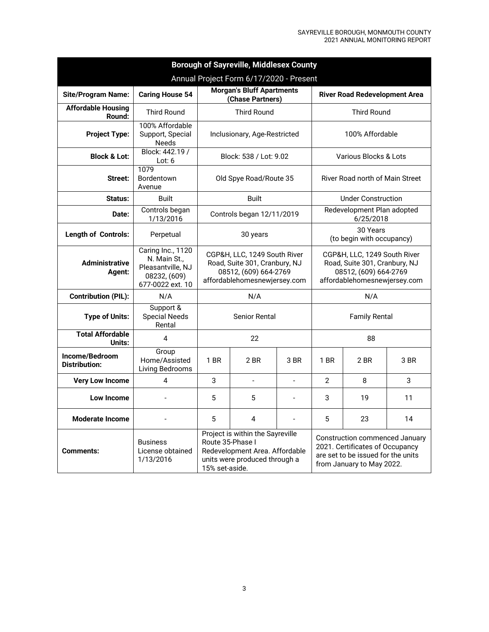| <b>Borough of Sayreville, Middlesex County</b> |                                                                                            |                                                                                                                                                                                                                                                                                          |                                                                                                                        |                |                                                                                                                        |                                         |      |  |  |  |  |
|------------------------------------------------|--------------------------------------------------------------------------------------------|------------------------------------------------------------------------------------------------------------------------------------------------------------------------------------------------------------------------------------------------------------------------------------------|------------------------------------------------------------------------------------------------------------------------|----------------|------------------------------------------------------------------------------------------------------------------------|-----------------------------------------|------|--|--|--|--|
| Annual Project Form 6/17/2020 - Present        |                                                                                            |                                                                                                                                                                                                                                                                                          |                                                                                                                        |                |                                                                                                                        |                                         |      |  |  |  |  |
| <b>Site/Program Name:</b>                      | <b>Caring House 54</b>                                                                     |                                                                                                                                                                                                                                                                                          | Morgan's Bluff Apartments<br>(Chase Partners)                                                                          |                | <b>River Road Redevelopment Area</b>                                                                                   |                                         |      |  |  |  |  |
| <b>Affordable Housing</b><br>Round:            | <b>Third Round</b>                                                                         |                                                                                                                                                                                                                                                                                          | <b>Third Round</b>                                                                                                     |                |                                                                                                                        | <b>Third Round</b>                      |      |  |  |  |  |
| <b>Project Type:</b>                           | 100% Affordable<br>Support, Special<br>Needs                                               |                                                                                                                                                                                                                                                                                          | Inclusionary, Age-Restricted<br>100% Affordable                                                                        |                |                                                                                                                        |                                         |      |  |  |  |  |
| <b>Block &amp; Lot:</b>                        | Block: 442.19 /<br>Lot: $6$                                                                |                                                                                                                                                                                                                                                                                          | Block: 538 / Lot: 9.02<br>Various Blocks & Lots                                                                        |                |                                                                                                                        |                                         |      |  |  |  |  |
| Street:                                        | 1079<br>Bordentown<br>Avenue                                                               |                                                                                                                                                                                                                                                                                          | Old Spye Road/Route 35<br>River Road north of Main Street                                                              |                |                                                                                                                        |                                         |      |  |  |  |  |
| Status:                                        | <b>Built</b>                                                                               |                                                                                                                                                                                                                                                                                          | <b>Built</b>                                                                                                           |                |                                                                                                                        | <b>Under Construction</b>               |      |  |  |  |  |
| Date:                                          | Controls began<br>1/13/2016                                                                |                                                                                                                                                                                                                                                                                          | Controls began 12/11/2019                                                                                              |                |                                                                                                                        | Redevelopment Plan adopted<br>6/25/2018 |      |  |  |  |  |
| <b>Length of Controls:</b>                     | Perpetual                                                                                  | 30 Years<br>30 years<br>(to begin with occupancy)                                                                                                                                                                                                                                        |                                                                                                                        |                |                                                                                                                        |                                         |      |  |  |  |  |
| <b>Administrative</b><br>Agent:                | Caring Inc., 1120<br>N. Main St.,<br>Pleasantville, NJ<br>08232, (609)<br>677-0022 ext. 10 |                                                                                                                                                                                                                                                                                          | CGP&H, LLC, 1249 South River<br>Road, Suite 301, Cranbury, NJ<br>08512, (609) 664-2769<br>affordablehomesnewjersey.com |                | CGP&H, LLC, 1249 South River<br>Road, Suite 301, Cranbury, NJ<br>08512, (609) 664-2769<br>affordablehomesnewjersey.com |                                         |      |  |  |  |  |
| <b>Contribution (PIL):</b>                     | N/A                                                                                        |                                                                                                                                                                                                                                                                                          | N/A                                                                                                                    |                |                                                                                                                        | N/A                                     |      |  |  |  |  |
| <b>Type of Units:</b>                          | Support &<br><b>Special Needs</b><br>Rental                                                | Senior Rental                                                                                                                                                                                                                                                                            |                                                                                                                        |                | <b>Family Rental</b>                                                                                                   |                                         |      |  |  |  |  |
| <b>Total Affordable</b><br>Units:              | 4                                                                                          |                                                                                                                                                                                                                                                                                          | 22                                                                                                                     |                |                                                                                                                        | 88                                      |      |  |  |  |  |
| Income/Bedroom<br><b>Distribution:</b>         | Group<br>Home/Assisted<br>Living Bedrooms                                                  | 1 BR                                                                                                                                                                                                                                                                                     | 2 BR                                                                                                                   | 3 BR           | 1 BR                                                                                                                   | 2 BR                                    | 3 BR |  |  |  |  |
| <b>Very Low Income</b>                         | 4                                                                                          | 3                                                                                                                                                                                                                                                                                        | $\overline{a}$                                                                                                         | $\overline{a}$ | $\mathcal{P}$                                                                                                          | 8                                       | 3    |  |  |  |  |
| Low Income                                     |                                                                                            | 5                                                                                                                                                                                                                                                                                        | 5                                                                                                                      | $\overline{a}$ | 3                                                                                                                      | 19                                      | 11   |  |  |  |  |
| <b>Moderate Income</b>                         |                                                                                            | 5                                                                                                                                                                                                                                                                                        | 4                                                                                                                      |                | 5                                                                                                                      | 23                                      | 14   |  |  |  |  |
| <b>Comments:</b>                               | <b>Business</b><br>License obtained<br>1/13/2016                                           | Project is within the Sayreville<br><b>Construction commenced January</b><br>Route 35-Phase I<br>2021. Certificates of Occupancy<br>Redevelopment Area. Affordable<br>are set to be issued for the units<br>units were produced through a<br>from January to May 2022.<br>15% set-aside. |                                                                                                                        |                |                                                                                                                        |                                         |      |  |  |  |  |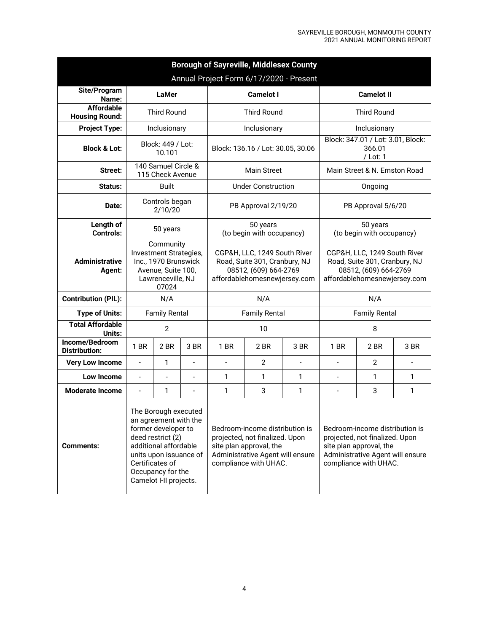| <b>Borough of Sayreville, Middlesex County</b> |                                                                                                                                                                                                                |                           |                                   |                                                                                                                                                          |                                       |                                                           |                                                                                                                                                          |                      |      |  |  |
|------------------------------------------------|----------------------------------------------------------------------------------------------------------------------------------------------------------------------------------------------------------------|---------------------------|-----------------------------------|----------------------------------------------------------------------------------------------------------------------------------------------------------|---------------------------------------|-----------------------------------------------------------|----------------------------------------------------------------------------------------------------------------------------------------------------------|----------------------|------|--|--|
| Annual Project Form 6/17/2020 - Present        |                                                                                                                                                                                                                |                           |                                   |                                                                                                                                                          |                                       |                                                           |                                                                                                                                                          |                      |      |  |  |
| Site/Program<br>Name:                          |                                                                                                                                                                                                                | <b>LaMer</b>              |                                   |                                                                                                                                                          | <b>Camelot I</b>                      |                                                           |                                                                                                                                                          | <b>Camelot II</b>    |      |  |  |
| <b>Affordable</b><br><b>Housing Round:</b>     | <b>Third Round</b>                                                                                                                                                                                             |                           |                                   | <b>Third Round</b>                                                                                                                                       |                                       |                                                           | <b>Third Round</b>                                                                                                                                       |                      |      |  |  |
| <b>Project Type:</b>                           |                                                                                                                                                                                                                | Inclusionary              |                                   |                                                                                                                                                          | Inclusionary                          |                                                           | Inclusionary                                                                                                                                             |                      |      |  |  |
| <b>Block &amp; Lot:</b>                        | Block: 449 / Lot:<br>10.101<br>140 Samuel Circle &                                                                                                                                                             |                           | Block: 136.16 / Lot: 30.05, 30.06 |                                                                                                                                                          |                                       | Block: 347.01 / Lot: 3.01, Block:<br>366.01<br>$/$ Lot: 1 |                                                                                                                                                          |                      |      |  |  |
| Street:                                        |                                                                                                                                                                                                                | 115 Check Avenue          |                                   | <b>Main Street</b>                                                                                                                                       |                                       |                                                           | Main Street & N. Ernston Road                                                                                                                            |                      |      |  |  |
| Status:                                        |                                                                                                                                                                                                                | <b>Built</b>              |                                   |                                                                                                                                                          | <b>Under Construction</b>             |                                                           |                                                                                                                                                          | Ongoing              |      |  |  |
| Date:                                          |                                                                                                                                                                                                                | Controls began<br>2/10/20 |                                   |                                                                                                                                                          | PB Approval 2/19/20                   |                                                           | PB Approval 5/6/20                                                                                                                                       |                      |      |  |  |
| Length of<br><b>Controls:</b>                  |                                                                                                                                                                                                                | 50 years                  |                                   |                                                                                                                                                          | 50 years<br>(to begin with occupancy) |                                                           | 50 years<br>(to begin with occupancy)                                                                                                                    |                      |      |  |  |
| <b>Administrative</b><br>Agent:                | Community<br>Investment Strategies,<br>Inc., 1970 Brunswick<br>Avenue, Suite 100,<br>Lawrenceville, NJ<br>07024                                                                                                |                           |                                   | CGP&H, LLC, 1249 South River<br>Road, Suite 301, Cranbury, NJ<br>08512, (609) 664-2769<br>affordablehomesnewjersey.com                                   |                                       |                                                           | CGP&H, LLC, 1249 South River<br>Road, Suite 301, Cranbury, NJ<br>08512, (609) 664-2769<br>affordablehomesnewjersey.com                                   |                      |      |  |  |
| <b>Contribution (PIL):</b>                     |                                                                                                                                                                                                                | N/A<br>N/A                |                                   |                                                                                                                                                          |                                       |                                                           |                                                                                                                                                          | N/A                  |      |  |  |
| <b>Type of Units:</b>                          | <b>Family Rental</b>                                                                                                                                                                                           |                           |                                   |                                                                                                                                                          | <b>Family Rental</b>                  |                                                           |                                                                                                                                                          | <b>Family Rental</b> |      |  |  |
| <b>Total Affordable</b><br>Units:              |                                                                                                                                                                                                                | $\overline{2}$            |                                   |                                                                                                                                                          | 10                                    |                                                           |                                                                                                                                                          | 8                    |      |  |  |
| Income/Bedroom<br><b>Distribution:</b>         | 1 BR                                                                                                                                                                                                           | 2BR                       | 3 BR                              | 1 BR                                                                                                                                                     | 2 BR                                  | 3 BR                                                      | 1 BR                                                                                                                                                     | 2 BR                 | 3 BR |  |  |
| <b>Very Low Income</b>                         | $\overline{\phantom{m}}$                                                                                                                                                                                       | 1                         | $\overline{a}$                    | $\overline{a}$                                                                                                                                           | $\overline{2}$                        | $\overline{\phantom{a}}$                                  |                                                                                                                                                          | $\overline{2}$       |      |  |  |
| <b>Low Income</b>                              | $\overline{\phantom{m}}$                                                                                                                                                                                       | $\overline{a}$            | $\overline{\phantom{a}}$          | $\mathbf{1}$                                                                                                                                             | 1                                     | 1                                                         | $\overline{\phantom{a}}$                                                                                                                                 | 1                    | 1    |  |  |
| <b>Moderate Income</b>                         | $\overline{\phantom{m}}$                                                                                                                                                                                       | 1                         | $\overline{a}$                    | $\mathbf{1}$                                                                                                                                             | 3                                     | 1                                                         | $\overline{a}$                                                                                                                                           | 3                    | 1    |  |  |
| <b>Comments:</b>                               | The Borough executed<br>an agreement with the<br>former developer to<br>deed restrict (2)<br>additional affordable<br>units upon issuance of<br>Certificates of<br>Occupancy for the<br>Camelot I-II projects. |                           |                                   | Bedroom-income distribution is<br>projected, not finalized. Upon<br>site plan approval, the<br>Administrative Agent will ensure<br>compliance with UHAC. |                                       |                                                           | Bedroom-income distribution is<br>projected, not finalized. Upon<br>site plan approval, the<br>Administrative Agent will ensure<br>compliance with UHAC. |                      |      |  |  |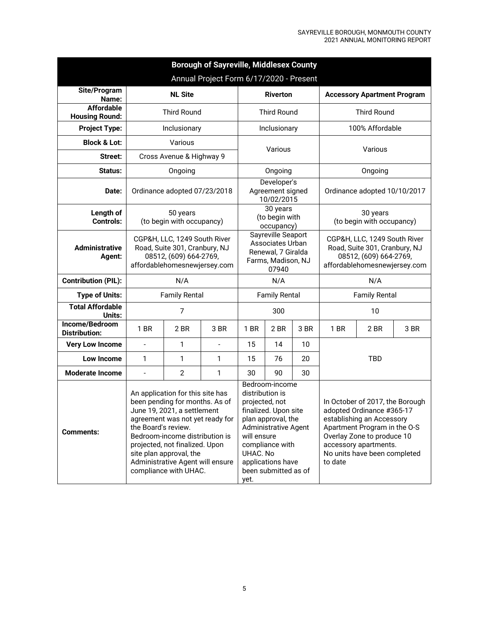| <b>Borough of Sayreville, Middlesex County</b><br>Annual Project Form 6/17/2020 - Present |                                                                                                                                                                                                                                                                                                                                                                                                                                                                                                                                                                |                              |                |                                                                                             |                                               |         |                                                                                                                                                                                                                  |                                       |      |  |
|-------------------------------------------------------------------------------------------|----------------------------------------------------------------------------------------------------------------------------------------------------------------------------------------------------------------------------------------------------------------------------------------------------------------------------------------------------------------------------------------------------------------------------------------------------------------------------------------------------------------------------------------------------------------|------------------------------|----------------|---------------------------------------------------------------------------------------------|-----------------------------------------------|---------|------------------------------------------------------------------------------------------------------------------------------------------------------------------------------------------------------------------|---------------------------------------|------|--|
| Site/Program                                                                              |                                                                                                                                                                                                                                                                                                                                                                                                                                                                                                                                                                | <b>Riverton</b>              |                |                                                                                             | <b>Accessory Apartment Program</b>            |         |                                                                                                                                                                                                                  |                                       |      |  |
| Name:<br><b>Affordable</b>                                                                |                                                                                                                                                                                                                                                                                                                                                                                                                                                                                                                                                                | <b>Third Round</b>           |                |                                                                                             | <b>Third Round</b>                            |         | <b>Third Round</b>                                                                                                                                                                                               |                                       |      |  |
| <b>Housing Round:</b>                                                                     |                                                                                                                                                                                                                                                                                                                                                                                                                                                                                                                                                                | Inclusionary                 |                |                                                                                             |                                               |         | 100% Affordable                                                                                                                                                                                                  |                                       |      |  |
| <b>Project Type:</b>                                                                      |                                                                                                                                                                                                                                                                                                                                                                                                                                                                                                                                                                |                              | Inclusionary   |                                                                                             |                                               |         |                                                                                                                                                                                                                  |                                       |      |  |
| <b>Block &amp; Lot:</b>                                                                   |                                                                                                                                                                                                                                                                                                                                                                                                                                                                                                                                                                | Various                      |                | Various                                                                                     |                                               |         |                                                                                                                                                                                                                  | Various                               |      |  |
| Street:                                                                                   |                                                                                                                                                                                                                                                                                                                                                                                                                                                                                                                                                                | Cross Avenue & Highway 9     |                |                                                                                             |                                               |         |                                                                                                                                                                                                                  |                                       |      |  |
| Status:                                                                                   |                                                                                                                                                                                                                                                                                                                                                                                                                                                                                                                                                                | Ongoing                      |                |                                                                                             | Ongoing                                       |         |                                                                                                                                                                                                                  | Ongoing                               |      |  |
| Date:                                                                                     |                                                                                                                                                                                                                                                                                                                                                                                                                                                                                                                                                                | Ordinance adopted 07/23/2018 |                |                                                                                             | Developer's<br>Agreement signed<br>10/02/2015 |         |                                                                                                                                                                                                                  | Ordinance adopted 10/10/2017          |      |  |
| Length of<br><b>Controls:</b>                                                             | 50 years<br>(to begin with occupancy)                                                                                                                                                                                                                                                                                                                                                                                                                                                                                                                          |                              |                |                                                                                             | 30 years<br>(to begin with<br>occupancy)      |         |                                                                                                                                                                                                                  | 30 years<br>(to begin with occupancy) |      |  |
| <b>Administrative</b><br>Agent:                                                           | CGP&H, LLC, 1249 South River<br>Road, Suite 301, Cranbury, NJ<br>08512, (609) 664-2769,<br>affordablehomesnewjersey.com                                                                                                                                                                                                                                                                                                                                                                                                                                        |                              |                | Sayreville Seaport<br>Associates Urban<br>Renewal, 7 Giralda<br>Farms, Madison, NJ<br>07940 |                                               |         | CGP&H, LLC, 1249 South River<br>Road, Suite 301, Cranbury, NJ<br>08512, (609) 664-2769,<br>affordablehomesnewjersey.com                                                                                          |                                       |      |  |
| <b>Contribution (PIL):</b>                                                                |                                                                                                                                                                                                                                                                                                                                                                                                                                                                                                                                                                |                              | N/A            |                                                                                             |                                               | N/A     |                                                                                                                                                                                                                  |                                       |      |  |
| <b>Type of Units:</b>                                                                     | <b>Family Rental</b>                                                                                                                                                                                                                                                                                                                                                                                                                                                                                                                                           |                              |                |                                                                                             | <b>Family Rental</b>                          |         |                                                                                                                                                                                                                  | <b>Family Rental</b>                  |      |  |
| <b>Total Affordable</b><br>Units:                                                         |                                                                                                                                                                                                                                                                                                                                                                                                                                                                                                                                                                | 7                            |                |                                                                                             | 300                                           |         | 10                                                                                                                                                                                                               |                                       |      |  |
| Income/Bedroom<br><b>Distribution:</b>                                                    | 1 BR                                                                                                                                                                                                                                                                                                                                                                                                                                                                                                                                                           | 2 BR                         | 3 BR           | 1 BR                                                                                        | 2 BR                                          | 3 BR    | 1 BR                                                                                                                                                                                                             | 2 BR                                  | 3 BR |  |
| <b>Very Low Income</b>                                                                    | $\overline{a}$                                                                                                                                                                                                                                                                                                                                                                                                                                                                                                                                                 | 1                            | $\blacksquare$ | 15                                                                                          | 14                                            | 10      |                                                                                                                                                                                                                  |                                       |      |  |
| <b>Low Income</b>                                                                         | 1                                                                                                                                                                                                                                                                                                                                                                                                                                                                                                                                                              | 1                            | 1              | 15                                                                                          | 76                                            | 20      | TBD                                                                                                                                                                                                              |                                       |      |  |
| <b>Moderate Income</b>                                                                    | $\overline{a}$                                                                                                                                                                                                                                                                                                                                                                                                                                                                                                                                                 | 2                            | 1              | 30                                                                                          | 90                                            | 30      |                                                                                                                                                                                                                  |                                       |      |  |
| <b>Comments:</b>                                                                          | Bedroom-income<br>An application for this site has<br>distribution is<br>been pending for months. As of<br>projected, not<br>June 19, 2021, a settlement<br>finalized. Upon site<br>plan approval, the<br>agreement was not yet ready for<br>the Board's review.<br><b>Administrative Agent</b><br>Bedroom-income distribution is<br>will ensure<br>projected, not finalized. Upon<br>compliance with<br>site plan approval, the<br>UHAC. No<br>Administrative Agent will ensure<br>applications have<br>compliance with UHAC.<br>been submitted as of<br>yet. |                              |                |                                                                                             |                                               | to date | In October of 2017, the Borough<br>adopted Ordinance #365-17<br>establishing an Accessory<br>Apartment Program in the O-S<br>Overlay Zone to produce 10<br>accessory apartments.<br>No units have been completed |                                       |      |  |